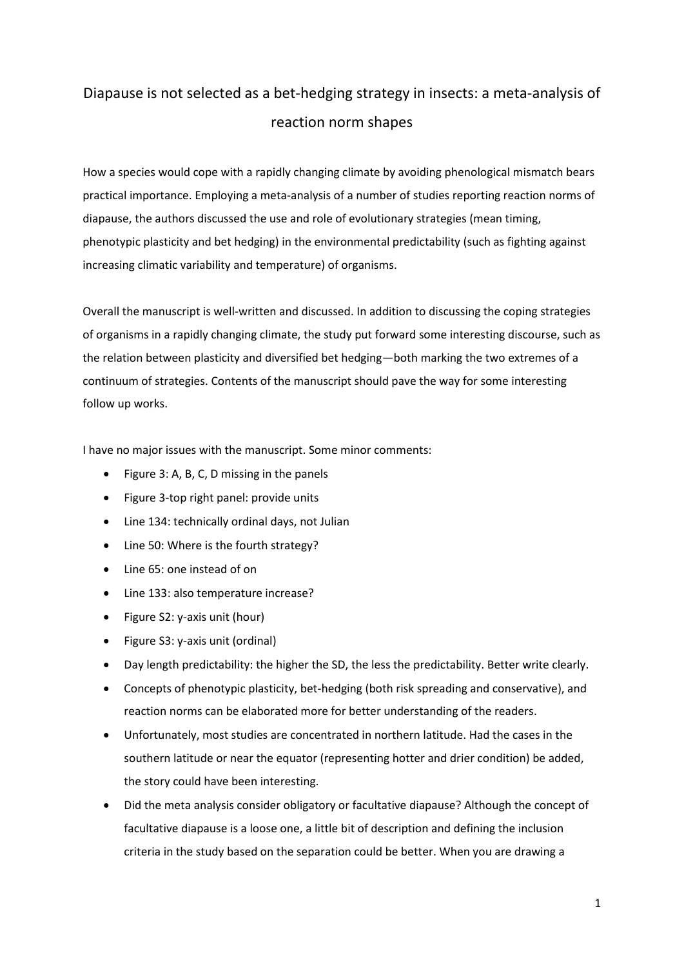## Diapause is not selected as a bet-hedging strategy in insects: a meta-analysis of reaction norm shapes

How a species would cope with a rapidly changing climate by avoiding phenological mismatch bears practical importance. Employing a meta-analysis of a number of studies reporting reaction norms of diapause, the authors discussed the use and role of evolutionary strategies (mean timing, phenotypic plasticity and bet hedging) in the environmental predictability (such as fighting against increasing climatic variability and temperature) of organisms.

Overall the manuscript is well-written and discussed. In addition to discussing the coping strategies of organisms in a rapidly changing climate, the study put forward some interesting discourse, such as the relation between plasticity and diversified bet hedging—both marking the two extremes of a continuum of strategies. Contents of the manuscript should pave the way for some interesting follow up works.

I have no major issues with the manuscript. Some minor comments:

- Figure 3: A, B, C, D missing in the panels
- Figure 3-top right panel: provide units
- Line 134: technically ordinal days, not Julian
- Line 50: Where is the fourth strategy?
- Line 65: one instead of on
- Line 133: also temperature increase?
- Figure S2: y-axis unit (hour)
- Figure S3: y-axis unit (ordinal)
- Day length predictability: the higher the SD, the less the predictability. Better write clearly.
- Concepts of phenotypic plasticity, bet-hedging (both risk spreading and conservative), and reaction norms can be elaborated more for better understanding of the readers.
- Unfortunately, most studies are concentrated in northern latitude. Had the cases in the southern latitude or near the equator (representing hotter and drier condition) be added, the story could have been interesting.
- Did the meta analysis consider obligatory or facultative diapause? Although the concept of facultative diapause is a loose one, a little bit of description and defining the inclusion criteria in the study based on the separation could be better. When you are drawing a